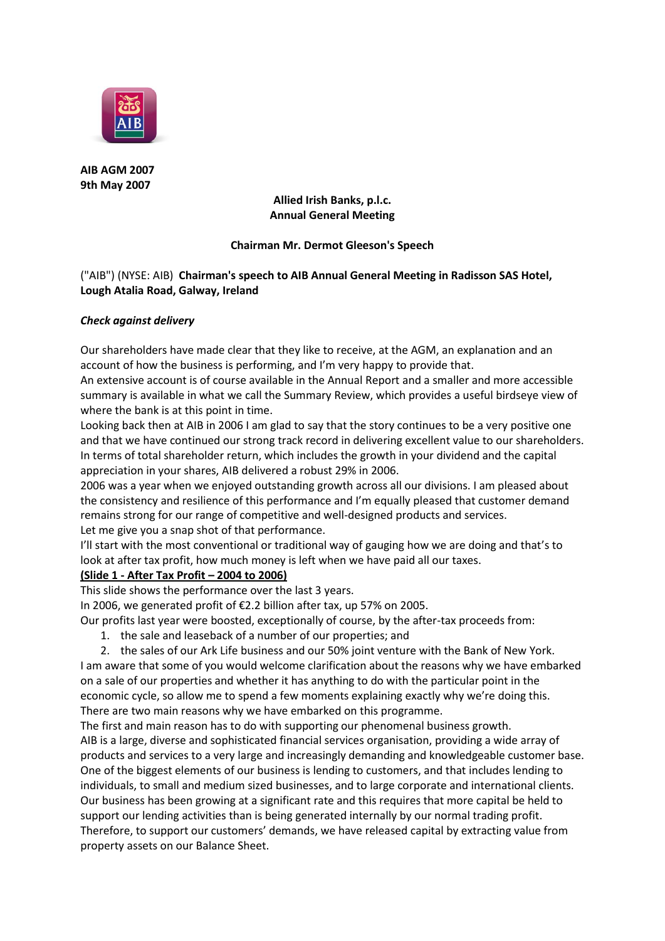

**AIB AGM 2007 9th May 2007**

> **Allied Irish Banks, p.l.c. Annual General Meeting**

## **Chairman Mr. Dermot Gleeson's Speech**

("AIB") (NYSE: AIB) **Chairman's speech to AIB Annual General Meeting in Radisson SAS Hotel, Lough Atalia Road, Galway, Ireland**

## *Check against delivery*

Our shareholders have made clear that they like to receive, at the AGM, an explanation and an account of how the business is performing, and I'm very happy to provide that.

An extensive account is of course available in the Annual Report and a smaller and more accessible summary is available in what we call the Summary Review, which provides a useful birdseye view of where the bank is at this point in time.

Looking back then at AIB in 2006 I am glad to say that the story continues to be a very positive one and that we have continued our strong track record in delivering excellent value to our shareholders. In terms of total shareholder return, which includes the growth in your dividend and the capital appreciation in your shares, AIB delivered a robust 29% in 2006.

2006 was a year when we enjoyed outstanding growth across all our divisions. I am pleased about the consistency and resilience of this performance and I'm equally pleased that customer demand remains strong for our range of competitive and well-designed products and services. Let me give you a snap shot of that performance.

I'll start with the most conventional or traditional way of gauging how we are doing and that's to look at after tax profit, how much money is left when we have paid all our taxes.

# **(Slide 1 - After Tax Profit – 2004 to 2006)**

This slide shows the performance over the last 3 years.

In 2006, we generated profit of €2.2 billion after tax, up 57% on 2005.

Our profits last year were boosted, exceptionally of course, by the after-tax proceeds from:

1. the sale and leaseback of a number of our properties; and

2. the sales of our Ark Life business and our 50% joint venture with the Bank of New York. I am aware that some of you would welcome clarification about the reasons why we have embarked on a sale of our properties and whether it has anything to do with the particular point in the economic cycle, so allow me to spend a few moments explaining exactly why we're doing this. There are two main reasons why we have embarked on this programme.

The first and main reason has to do with supporting our phenomenal business growth. AIB is a large, diverse and sophisticated financial services organisation, providing a wide array of products and services to a very large and increasingly demanding and knowledgeable customer base. One of the biggest elements of our business is lending to customers, and that includes lending to individuals, to small and medium sized businesses, and to large corporate and international clients. Our business has been growing at a significant rate and this requires that more capital be held to support our lending activities than is being generated internally by our normal trading profit. Therefore, to support our customers' demands, we have released capital by extracting value from property assets on our Balance Sheet.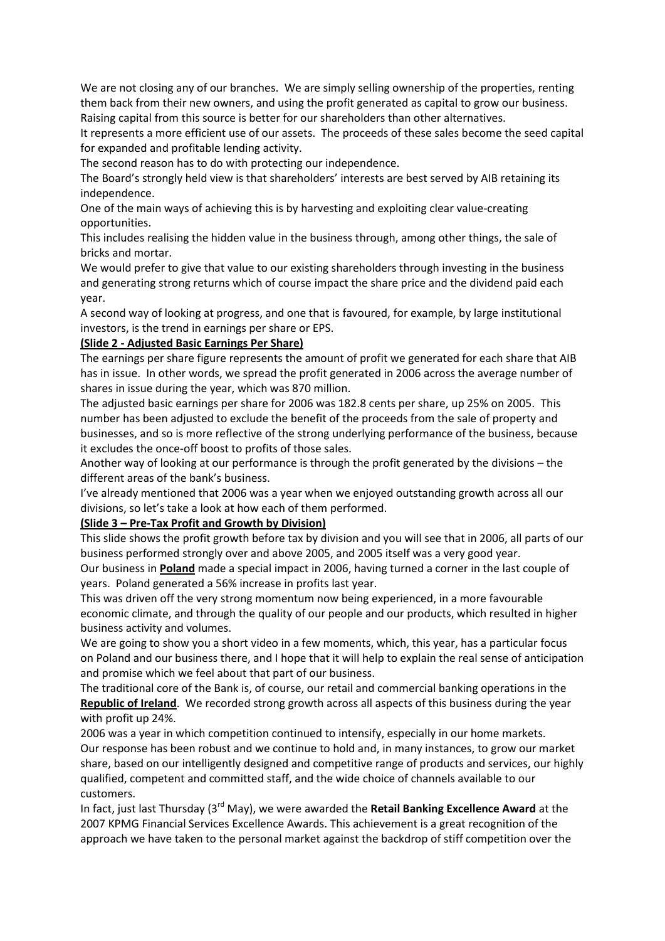We are not closing any of our branches. We are simply selling ownership of the properties, renting them back from their new owners, and using the profit generated as capital to grow our business. Raising capital from this source is better for our shareholders than other alternatives.

It represents a more efficient use of our assets. The proceeds of these sales become the seed capital for expanded and profitable lending activity.

The second reason has to do with protecting our independence.

The Board's strongly held view is that shareholders' interests are best served by AIB retaining its independence.

One of the main ways of achieving this is by harvesting and exploiting clear value-creating opportunities.

This includes realising the hidden value in the business through, among other things, the sale of bricks and mortar.

We would prefer to give that value to our existing shareholders through investing in the business and generating strong returns which of course impact the share price and the dividend paid each year.

A second way of looking at progress, and one that is favoured, for example, by large institutional investors, is the trend in earnings per share or EPS.

## **(Slide 2 - Adjusted Basic Earnings Per Share)**

The earnings per share figure represents the amount of profit we generated for each share that AIB has in issue. In other words, we spread the profit generated in 2006 across the average number of shares in issue during the year, which was 870 million.

The adjusted basic earnings per share for 2006 was 182.8 cents per share, up 25% on 2005. This number has been adjusted to exclude the benefit of the proceeds from the sale of property and businesses, and so is more reflective of the strong underlying performance of the business, because it excludes the once-off boost to profits of those sales.

Another way of looking at our performance is through the profit generated by the divisions – the different areas of the bank's business.

I've already mentioned that 2006 was a year when we enjoyed outstanding growth across all our divisions, so let's take a look at how each of them performed.

# **(Slide 3 – Pre-Tax Profit and Growth by Division)**

This slide shows the profit growth before tax by division and you will see that in 2006, all parts of our business performed strongly over and above 2005, and 2005 itself was a very good year.

Our business in **Poland** made a special impact in 2006, having turned a corner in the last couple of years. Poland generated a 56% increase in profits last year.

This was driven off the very strong momentum now being experienced, in a more favourable economic climate, and through the quality of our people and our products, which resulted in higher business activity and volumes.

We are going to show you a short video in a few moments, which, this year, has a particular focus on Poland and our business there, and I hope that it will help to explain the real sense of anticipation and promise which we feel about that part of our business.

The traditional core of the Bank is, of course, our retail and commercial banking operations in the **Republic of Ireland**. We recorded strong growth across all aspects of this business during the year with profit up 24%.

2006 was a year in which competition continued to intensify, especially in our home markets. Our response has been robust and we continue to hold and, in many instances, to grow our market share, based on our intelligently designed and competitive range of products and services, our highly qualified, competent and committed staff, and the wide choice of channels available to our customers.

In fact, just last Thursday (3rd May), we were awarded the **Retail Banking Excellence Award** at the 2007 KPMG Financial Services Excellence Awards. This achievement is a great recognition of the approach we have taken to the personal market against the backdrop of stiff competition over the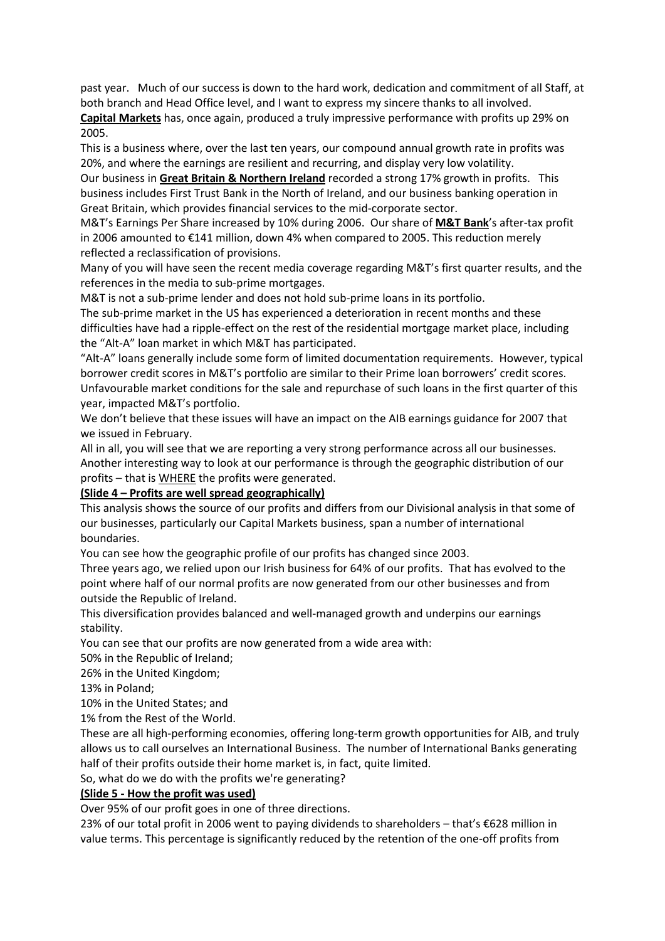past year. Much of our success is down to the hard work, dedication and commitment of all Staff, at both branch and Head Office level, and I want to express my sincere thanks to all involved.

**Capital Markets** has, once again, produced a truly impressive performance with profits up 29% on 2005.

This is a business where, over the last ten years, our compound annual growth rate in profits was 20%, and where the earnings are resilient and recurring, and display very low volatility.

Our business in **Great Britain & Northern Ireland** recorded a strong 17% growth in profits. This business includes First Trust Bank in the North of Ireland, and our business banking operation in Great Britain, which provides financial services to the mid-corporate sector.

M&T's Earnings Per Share increased by 10% during 2006. Our share of **M&T Bank**'s after-tax profit in 2006 amounted to €141 million, down 4% when compared to 2005. This reduction merely reflected a reclassification of provisions.

Many of you will have seen the recent media coverage regarding M&T's first quarter results, and the references in the media to sub-prime mortgages.

M&T is not a sub-prime lender and does not hold sub-prime loans in its portfolio.

The sub-prime market in the US has experienced a deterioration in recent months and these difficulties have had a ripple-effect on the rest of the residential mortgage market place, including the "Alt-A" loan market in which M&T has participated.

"Alt-A" loans generally include some form of limited documentation requirements. However, typical borrower credit scores in M&T's portfolio are similar to their Prime loan borrowers' credit scores. Unfavourable market conditions for the sale and repurchase of such loans in the first quarter of this year, impacted M&T's portfolio.

We don't believe that these issues will have an impact on the AIB earnings guidance for 2007 that we issued in February.

All in all, you will see that we are reporting a very strong performance across all our businesses. Another interesting way to look at our performance is through the geographic distribution of our profits - that is WHERE the profits were generated.

# **(Slide 4 – Profits are well spread geographically)**

This analysis shows the source of our profits and differs from our Divisional analysis in that some of our businesses, particularly our Capital Markets business, span a number of international boundaries.

You can see how the geographic profile of our profits has changed since 2003.

Three years ago, we relied upon our Irish business for 64% of our profits. That has evolved to the point where half of our normal profits are now generated from our other businesses and from outside the Republic of Ireland.

This diversification provides balanced and well-managed growth and underpins our earnings stability.

You can see that our profits are now generated from a wide area with:

50% in the Republic of Ireland;

26% in the United Kingdom;

13% in Poland;

10% in the United States; and

1% from the Rest of the World.

These are all high-performing economies, offering long-term growth opportunities for AIB, and truly allows us to call ourselves an International Business. The number of International Banks generating half of their profits outside their home market is, in fact, quite limited.

So, what do we do with the profits we're generating?

# **(Slide 5 - How the profit was used)**

Over 95% of our profit goes in one of three directions.

23% of our total profit in 2006 went to paying dividends to shareholders – that's €628 million in value terms. This percentage is significantly reduced by the retention of the one-off profits from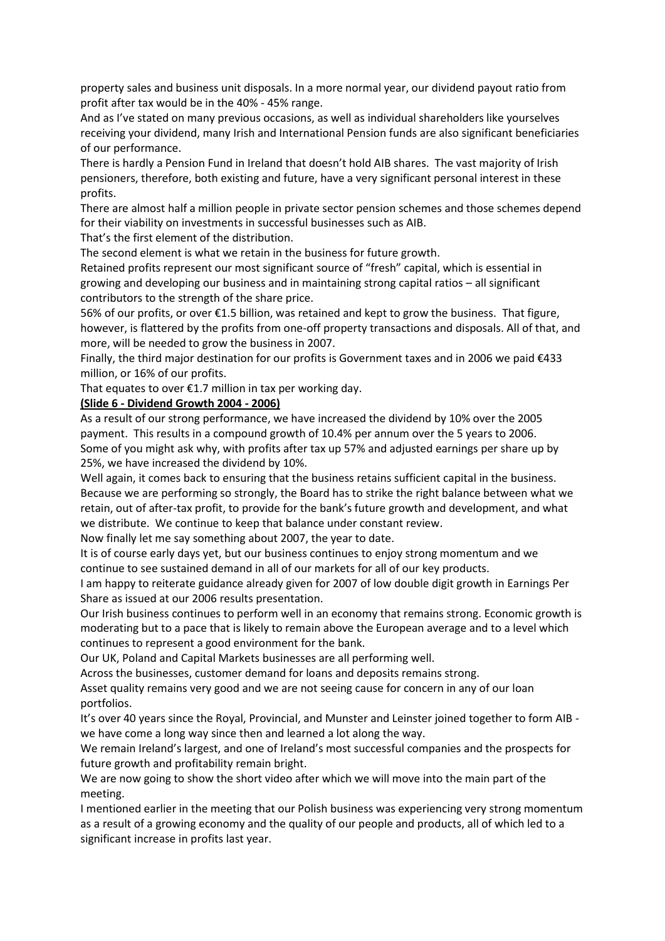property sales and business unit disposals. In a more normal year, our dividend payout ratio from profit after tax would be in the 40% - 45% range.

And as I've stated on many previous occasions, as well as individual shareholders like yourselves receiving your dividend, many Irish and International Pension funds are also significant beneficiaries of our performance.

There is hardly a Pension Fund in Ireland that doesn't hold AIB shares. The vast majority of Irish pensioners, therefore, both existing and future, have a very significant personal interest in these profits.

There are almost half a million people in private sector pension schemes and those schemes depend for their viability on investments in successful businesses such as AIB.

That's the first element of the distribution.

The second element is what we retain in the business for future growth.

Retained profits represent our most significant source of "fresh" capital, which is essential in growing and developing our business and in maintaining strong capital ratios – all significant contributors to the strength of the share price.

56% of our profits, or over €1.5 billion, was retained and kept to grow the business. That figure, however, is flattered by the profits from one-off property transactions and disposals. All of that, and more, will be needed to grow the business in 2007.

Finally, the third major destination for our profits is Government taxes and in 2006 we paid €433 million, or 16% of our profits.

That equates to over  $\epsilon$ 1.7 million in tax per working day.

## **(Slide 6 - Dividend Growth 2004 - 2006)**

As a result of our strong performance, we have increased the dividend by 10% over the 2005 payment. This results in a compound growth of 10.4% per annum over the 5 years to 2006. Some of you might ask why, with profits after tax up 57% and adjusted earnings per share up by 25%, we have increased the dividend by 10%.

Well again, it comes back to ensuring that the business retains sufficient capital in the business. Because we are performing so strongly, the Board has to strike the right balance between what we retain, out of after-tax profit, to provide for the bank's future growth and development, and what we distribute. We continue to keep that balance under constant review.

Now finally let me say something about 2007, the year to date.

It is of course early days yet, but our business continues to enjoy strong momentum and we continue to see sustained demand in all of our markets for all of our key products.

I am happy to reiterate guidance already given for 2007 of low double digit growth in Earnings Per Share as issued at our 2006 results presentation.

Our Irish business continues to perform well in an economy that remains strong. Economic growth is moderating but to a pace that is likely to remain above the European average and to a level which continues to represent a good environment for the bank.

Our UK, Poland and Capital Markets businesses are all performing well.

Across the businesses, customer demand for loans and deposits remains strong.

Asset quality remains very good and we are not seeing cause for concern in any of our loan portfolios.

It's over 40 years since the Royal, Provincial, and Munster and Leinster joined together to form AIB we have come a long way since then and learned a lot along the way.

We remain Ireland's largest, and one of Ireland's most successful companies and the prospects for future growth and profitability remain bright.

We are now going to show the short video after which we will move into the main part of the meeting.

I mentioned earlier in the meeting that our Polish business was experiencing very strong momentum as a result of a growing economy and the quality of our people and products, all of which led to a significant increase in profits last year.